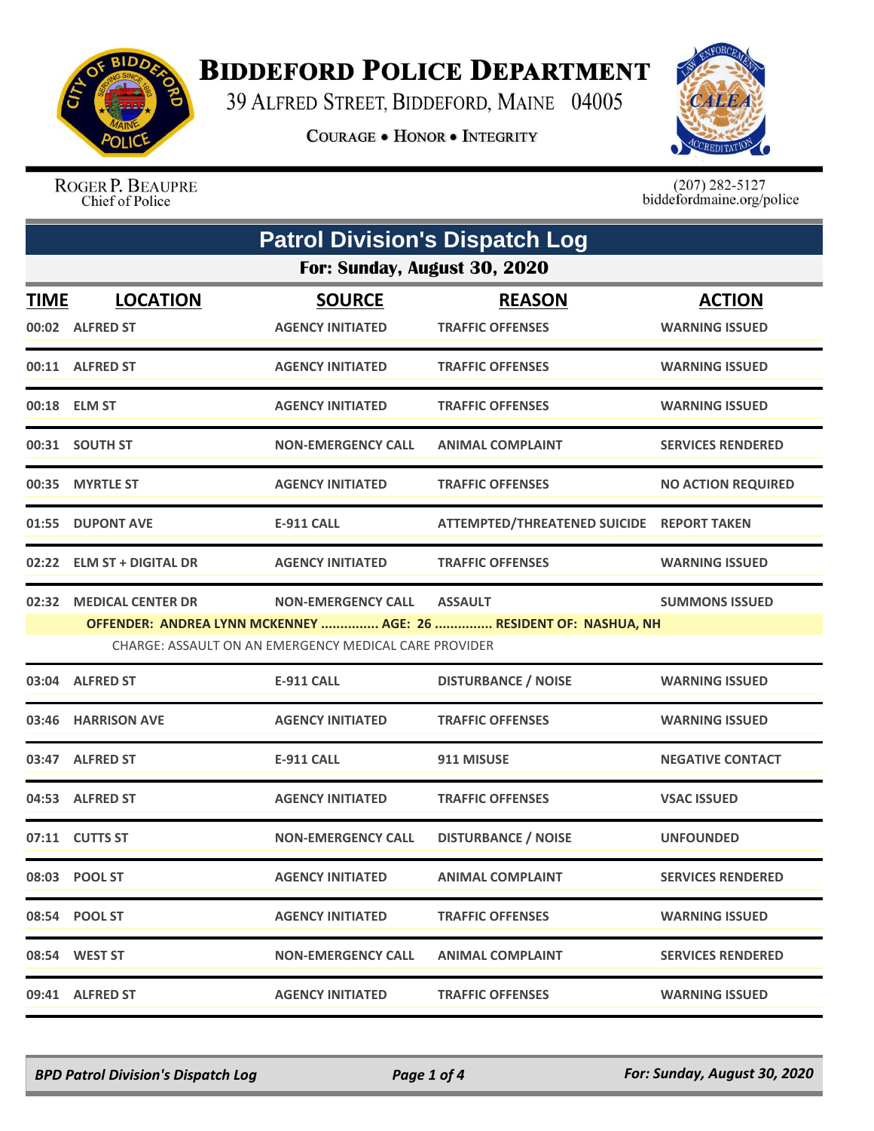

## **BIDDEFORD POLICE DEPARTMENT**

39 ALFRED STREET, BIDDEFORD, MAINE 04005

**COURAGE . HONOR . INTEGRITY** 



ROGER P. BEAUPRE Chief of Police

 $(207)$  282-5127<br>biddefordmaine.org/police

| <b>Patrol Division's Dispatch Log</b> |                                                       |                                          |                                                                  |                                        |  |  |  |
|---------------------------------------|-------------------------------------------------------|------------------------------------------|------------------------------------------------------------------|----------------------------------------|--|--|--|
|                                       | For: Sunday, August 30, 2020                          |                                          |                                                                  |                                        |  |  |  |
| <b>TIME</b>                           | <b>LOCATION</b><br>00:02 ALFRED ST                    | <b>SOURCE</b><br><b>AGENCY INITIATED</b> | <b>REASON</b><br><b>TRAFFIC OFFENSES</b>                         | <b>ACTION</b><br><b>WARNING ISSUED</b> |  |  |  |
|                                       | 00:11 ALFRED ST                                       | <b>AGENCY INITIATED</b>                  | <b>TRAFFIC OFFENSES</b>                                          | <b>WARNING ISSUED</b>                  |  |  |  |
|                                       | 00:18 ELM ST                                          | <b>AGENCY INITIATED</b>                  | <b>TRAFFIC OFFENSES</b>                                          | <b>WARNING ISSUED</b>                  |  |  |  |
|                                       | 00:31 SOUTH ST                                        | <b>NON-EMERGENCY CALL</b>                | <b>ANIMAL COMPLAINT</b>                                          | <b>SERVICES RENDERED</b>               |  |  |  |
|                                       | 00:35 MYRTLE ST                                       | <b>AGENCY INITIATED</b>                  | <b>TRAFFIC OFFENSES</b>                                          | <b>NO ACTION REQUIRED</b>              |  |  |  |
|                                       | 01:55 DUPONT AVE                                      | E-911 CALL                               | ATTEMPTED/THREATENED SUICIDE REPORT TAKEN                        |                                        |  |  |  |
|                                       | 02:22 ELM ST + DIGITAL DR                             | <b>AGENCY INITIATED</b>                  | <b>TRAFFIC OFFENSES</b>                                          | <b>WARNING ISSUED</b>                  |  |  |  |
|                                       | 02:32 MEDICAL CENTER DR                               | <b>NON-EMERGENCY CALL</b>                | <b>ASSAULT</b>                                                   | <b>SUMMONS ISSUED</b>                  |  |  |  |
|                                       |                                                       |                                          | OFFENDER: ANDREA LYNN MCKENNEY  AGE: 26  RESIDENT OF: NASHUA, NH |                                        |  |  |  |
|                                       | CHARGE: ASSAULT ON AN EMERGENCY MEDICAL CARE PROVIDER |                                          |                                                                  |                                        |  |  |  |
|                                       | 03:04 ALFRED ST                                       | <b>E-911 CALL</b>                        | <b>DISTURBANCE / NOISE</b>                                       | <b>WARNING ISSUED</b>                  |  |  |  |
|                                       | 03:46 HARRISON AVE                                    | <b>AGENCY INITIATED</b>                  | <b>TRAFFIC OFFENSES</b>                                          | <b>WARNING ISSUED</b>                  |  |  |  |
|                                       | 03:47 ALFRED ST                                       | <b>E-911 CALL</b>                        | 911 MISUSE                                                       | <b>NEGATIVE CONTACT</b>                |  |  |  |
|                                       | 04:53 ALFRED ST                                       | <b>AGENCY INITIATED</b>                  | <b>TRAFFIC OFFENSES</b>                                          | <b>VSAC ISSUED</b>                     |  |  |  |
|                                       | 07:11 CUTTS ST                                        | <b>NON-EMERGENCY CALL</b>                | <b>DISTURBANCE / NOISE</b>                                       | <b>UNFOUNDED</b>                       |  |  |  |
|                                       | 08:03 POOL ST                                         | <b>AGENCY INITIATED</b>                  | <b>ANIMAL COMPLAINT</b>                                          | <b>SERVICES RENDERED</b>               |  |  |  |
|                                       | 08:54 POOL ST                                         | <b>AGENCY INITIATED</b>                  | <b>TRAFFIC OFFENSES</b>                                          | <b>WARNING ISSUED</b>                  |  |  |  |
|                                       | 08:54 WEST ST                                         | <b>NON-EMERGENCY CALL</b>                | <b>ANIMAL COMPLAINT</b>                                          | <b>SERVICES RENDERED</b>               |  |  |  |
|                                       | 09:41 ALFRED ST                                       | <b>AGENCY INITIATED</b>                  | <b>TRAFFIC OFFENSES</b>                                          | <b>WARNING ISSUED</b>                  |  |  |  |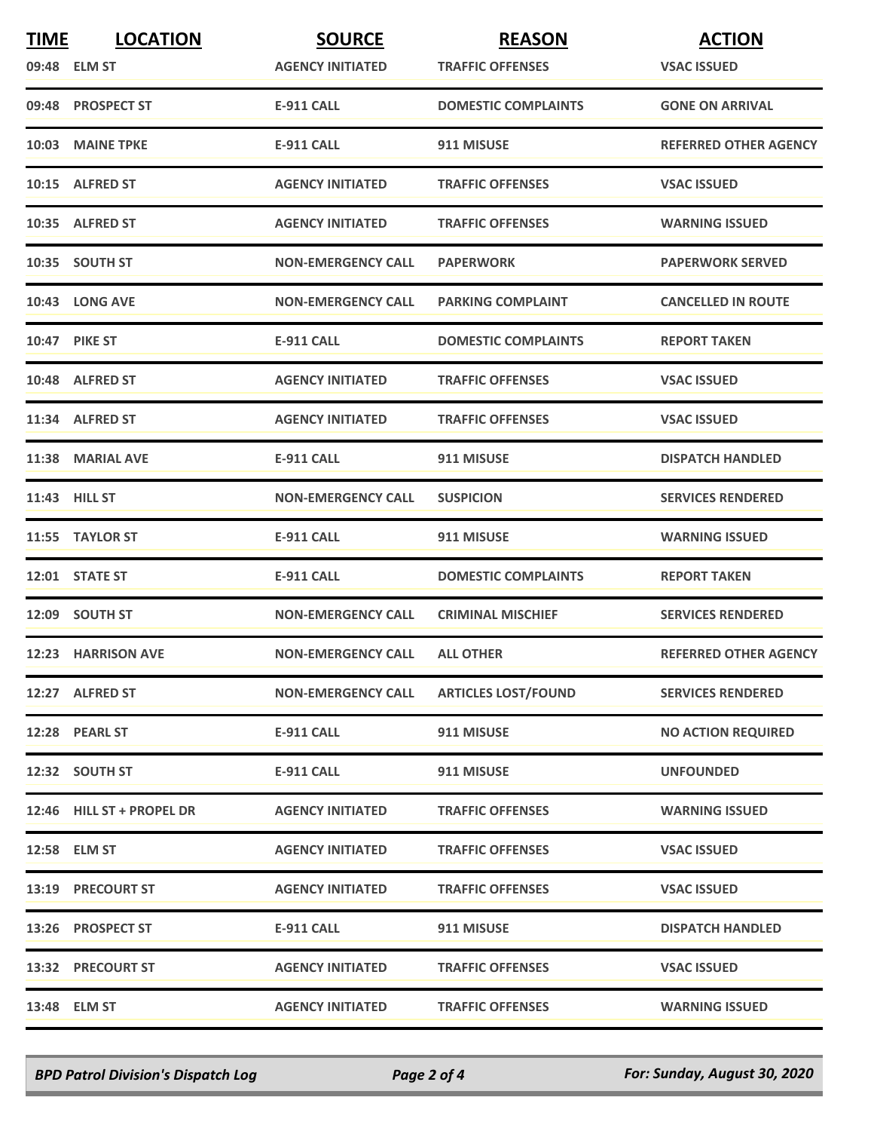| <b>TIME</b> | <b>LOCATION</b>           | <b>SOURCE</b>             | <b>REASON</b>              | <b>ACTION</b>                |
|-------------|---------------------------|---------------------------|----------------------------|------------------------------|
|             | 09:48 ELM ST              | <b>AGENCY INITIATED</b>   | <b>TRAFFIC OFFENSES</b>    | <b>VSAC ISSUED</b>           |
|             | 09:48 PROSPECT ST         | <b>E-911 CALL</b>         | <b>DOMESTIC COMPLAINTS</b> | <b>GONE ON ARRIVAL</b>       |
|             | 10:03 MAINE TPKE          | <b>E-911 CALL</b>         | 911 MISUSE                 | <b>REFERRED OTHER AGENCY</b> |
|             | 10:15 ALFRED ST           | <b>AGENCY INITIATED</b>   | <b>TRAFFIC OFFENSES</b>    | <b>VSAC ISSUED</b>           |
|             | 10:35 ALFRED ST           | <b>AGENCY INITIATED</b>   | <b>TRAFFIC OFFENSES</b>    | <b>WARNING ISSUED</b>        |
|             | 10:35 SOUTH ST            | <b>NON-EMERGENCY CALL</b> | <b>PAPERWORK</b>           | <b>PAPERWORK SERVED</b>      |
|             | 10:43 LONG AVE            | <b>NON-EMERGENCY CALL</b> | <b>PARKING COMPLAINT</b>   | <b>CANCELLED IN ROUTE</b>    |
|             | <b>10:47 PIKE ST</b>      | E-911 CALL                | <b>DOMESTIC COMPLAINTS</b> | <b>REPORT TAKEN</b>          |
|             | 10:48 ALFRED ST           | <b>AGENCY INITIATED</b>   | <b>TRAFFIC OFFENSES</b>    | <b>VSAC ISSUED</b>           |
|             | 11:34 ALFRED ST           | <b>AGENCY INITIATED</b>   | <b>TRAFFIC OFFENSES</b>    | <b>VSAC ISSUED</b>           |
|             | 11:38 MARIAL AVE          | E-911 CALL                | 911 MISUSE                 | <b>DISPATCH HANDLED</b>      |
|             | 11:43 HILL ST             | <b>NON-EMERGENCY CALL</b> | <b>SUSPICION</b>           | <b>SERVICES RENDERED</b>     |
|             | 11:55 TAYLOR ST           | <b>E-911 CALL</b>         | 911 MISUSE                 | <b>WARNING ISSUED</b>        |
|             | 12:01 STATE ST            | <b>E-911 CALL</b>         | <b>DOMESTIC COMPLAINTS</b> | <b>REPORT TAKEN</b>          |
|             | 12:09 SOUTH ST            | <b>NON-EMERGENCY CALL</b> | <b>CRIMINAL MISCHIEF</b>   | <b>SERVICES RENDERED</b>     |
|             | 12:23 HARRISON AVE        | <b>NON-EMERGENCY CALL</b> | <b>ALL OTHER</b>           | <b>REFERRED OTHER AGENCY</b> |
|             | 12:27 ALFRED ST           | <b>NON-EMERGENCY CALL</b> | <b>ARTICLES LOST/FOUND</b> | <b>SERVICES RENDERED</b>     |
|             | 12:28 PEARL ST            | <b>E-911 CALL</b>         | 911 MISUSE                 | <b>NO ACTION REQUIRED</b>    |
|             | 12:32 SOUTH ST            | <b>E-911 CALL</b>         | 911 MISUSE                 | <b>UNFOUNDED</b>             |
|             | 12:46 HILL ST + PROPEL DR | <b>AGENCY INITIATED</b>   | <b>TRAFFIC OFFENSES</b>    | <b>WARNING ISSUED</b>        |
|             | 12:58 ELM ST              | <b>AGENCY INITIATED</b>   | <b>TRAFFIC OFFENSES</b>    | <b>VSAC ISSUED</b>           |
|             | <b>13:19 PRECOURT ST</b>  | <b>AGENCY INITIATED</b>   | <b>TRAFFIC OFFENSES</b>    | <b>VSAC ISSUED</b>           |
|             | 13:26 PROSPECT ST         | E-911 CALL                | 911 MISUSE                 | <b>DISPATCH HANDLED</b>      |
|             | 13:32 PRECOURT ST         | <b>AGENCY INITIATED</b>   | <b>TRAFFIC OFFENSES</b>    | <b>VSAC ISSUED</b>           |
|             | 13:48 ELM ST              | <b>AGENCY INITIATED</b>   | <b>TRAFFIC OFFENSES</b>    | <b>WARNING ISSUED</b>        |

*BPD Patrol Division's Dispatch Log Page 2 of 4 For: Sunday, August 30, 2020*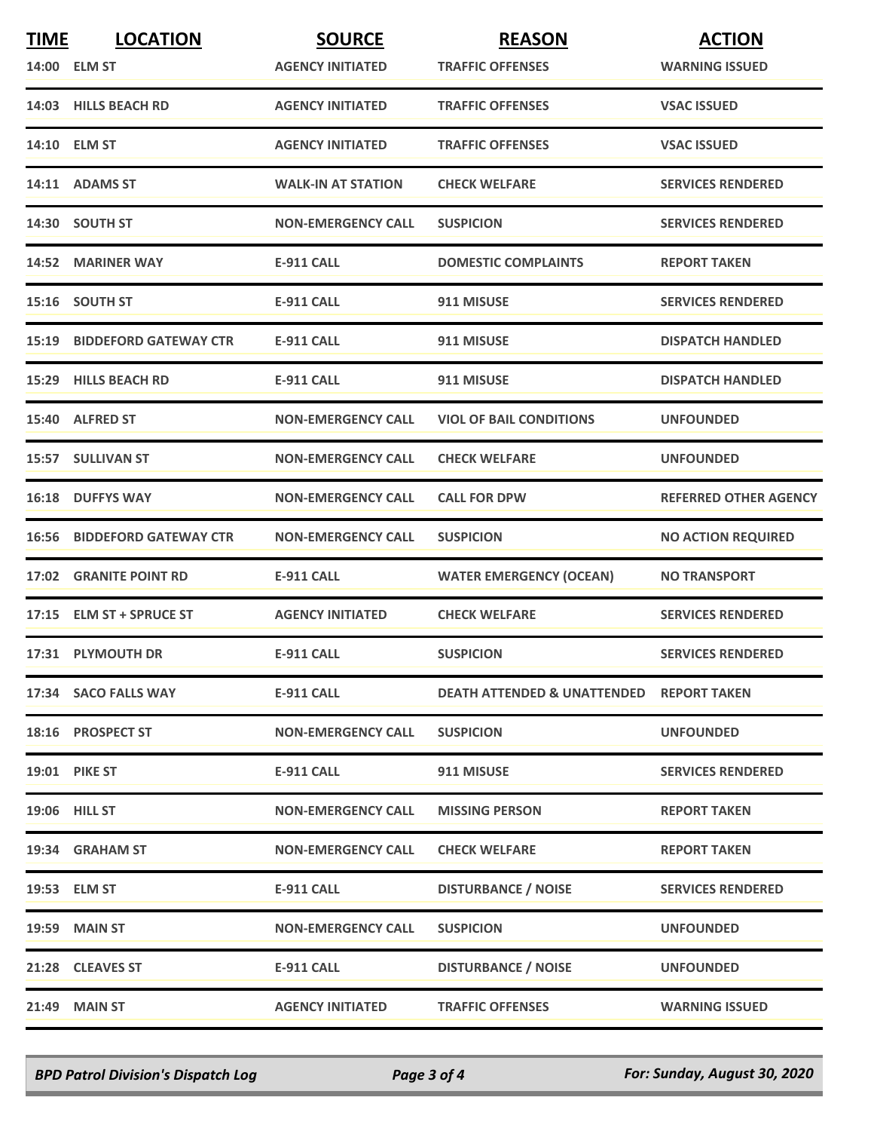| <b>TIME</b> | <b>LOCATION</b>                    | <b>SOURCE</b>             | <b>REASON</b>                                       | <b>ACTION</b>                |
|-------------|------------------------------------|---------------------------|-----------------------------------------------------|------------------------------|
|             | 14:00 ELM ST                       | <b>AGENCY INITIATED</b>   | <b>TRAFFIC OFFENSES</b>                             | <b>WARNING ISSUED</b>        |
|             | 14:03 HILLS BEACH RD               | <b>AGENCY INITIATED</b>   | <b>TRAFFIC OFFENSES</b>                             | <b>VSAC ISSUED</b>           |
|             | 14:10 ELM ST                       | <b>AGENCY INITIATED</b>   | <b>TRAFFIC OFFENSES</b>                             | <b>VSAC ISSUED</b>           |
|             | 14:11 ADAMS ST                     | <b>WALK-IN AT STATION</b> | <b>CHECK WELFARE</b>                                | <b>SERVICES RENDERED</b>     |
|             | 14:30 SOUTH ST                     | <b>NON-EMERGENCY CALL</b> | <b>SUSPICION</b>                                    | <b>SERVICES RENDERED</b>     |
|             | 14:52 MARINER WAY                  | <b>E-911 CALL</b>         | <b>DOMESTIC COMPLAINTS</b>                          | <b>REPORT TAKEN</b>          |
|             | 15:16 SOUTH ST                     | <b>E-911 CALL</b>         | 911 MISUSE                                          | <b>SERVICES RENDERED</b>     |
|             | 15:19 BIDDEFORD GATEWAY CTR        | E-911 CALL                | 911 MISUSE                                          | <b>DISPATCH HANDLED</b>      |
|             | 15:29 HILLS BEACH RD               | <b>E-911 CALL</b>         | 911 MISUSE                                          | <b>DISPATCH HANDLED</b>      |
|             | 15:40 ALFRED ST                    | <b>NON-EMERGENCY CALL</b> | <b>VIOL OF BAIL CONDITIONS</b>                      | <b>UNFOUNDED</b>             |
|             | 15:57 SULLIVAN ST                  | <b>NON-EMERGENCY CALL</b> | <b>CHECK WELFARE</b>                                | <b>UNFOUNDED</b>             |
|             | 16:18 DUFFYS WAY                   | <b>NON-EMERGENCY CALL</b> | <b>CALL FOR DPW</b>                                 | <b>REFERRED OTHER AGENCY</b> |
|             | <b>16:56 BIDDEFORD GATEWAY CTR</b> | <b>NON-EMERGENCY CALL</b> | <b>SUSPICION</b>                                    | <b>NO ACTION REQUIRED</b>    |
|             | 17:02 GRANITE POINT RD             | <b>E-911 CALL</b>         | <b>WATER EMERGENCY (OCEAN)</b>                      | <b>NO TRANSPORT</b>          |
|             | 17:15 ELM ST + SPRUCE ST           | <b>AGENCY INITIATED</b>   | <b>CHECK WELFARE</b>                                | <b>SERVICES RENDERED</b>     |
|             | 17:31 PLYMOUTH DR                  | <b>E-911 CALL</b>         | <b>SUSPICION</b>                                    | <b>SERVICES RENDERED</b>     |
|             | 17:34 SACO FALLS WAY               | <b>E-911 CALL</b>         | <b>DEATH ATTENDED &amp; UNATTENDED REPORT TAKEN</b> |                              |
|             | 18:16 PROSPECT ST                  | <b>NON-EMERGENCY CALL</b> | <b>SUSPICION</b>                                    | <b>UNFOUNDED</b>             |
|             | 19:01 PIKE ST                      | <b>E-911 CALL</b>         | 911 MISUSE                                          | <b>SERVICES RENDERED</b>     |
|             | 19:06 HILL ST                      | <b>NON-EMERGENCY CALL</b> | <b>MISSING PERSON</b>                               | <b>REPORT TAKEN</b>          |
|             | 19:34 GRAHAM ST                    | <b>NON-EMERGENCY CALL</b> | <b>CHECK WELFARE</b>                                | <b>REPORT TAKEN</b>          |
|             | 19:53 ELM ST                       | E-911 CALL                | <b>DISTURBANCE / NOISE</b>                          | <b>SERVICES RENDERED</b>     |
|             | <b>19:59 MAIN ST</b>               | <b>NON-EMERGENCY CALL</b> | <b>SUSPICION</b>                                    | <b>UNFOUNDED</b>             |
|             | 21:28 CLEAVES ST                   | <b>E-911 CALL</b>         | <b>DISTURBANCE / NOISE</b>                          | <b>UNFOUNDED</b>             |
|             | 21:49 MAIN ST                      | <b>AGENCY INITIATED</b>   | <b>TRAFFIC OFFENSES</b>                             | <b>WARNING ISSUED</b>        |

*BPD Patrol Division's Dispatch Log Page 3 of 4 For: Sunday, August 30, 2020*